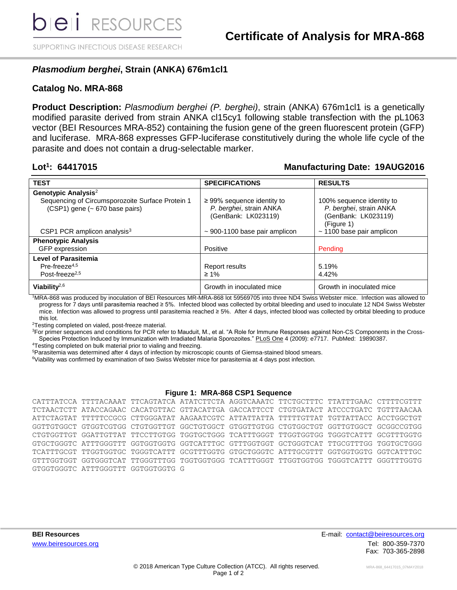SUPPORTING INFECTIOUS DISEASE RESEARCH

## *Plasmodium berghei***, Strain (ANKA) 676m1cl1**

### **Catalog No. MRA-868**

**Product Description:** *Plasmodium berghei (P. berghei)*, strain (ANKA) 676m1cl1 is a genetically modified parasite derived from strain ANKA cl15cy1 following stable transfection with the pL1063 vector (BEI Resources MRA-852) containing the fusion gene of the green fluorescent protein (GFP) and luciferase. MRA-868 expresses GFP-luciferase constitutively during the whole life cycle of the parasite and does not contain a drug-selectable marker.

### Lot<sup>1</sup>: 64417015

### **: 64417015 Manufacturing Date: 19AUG2016**

| <b>TEST</b>                                      | <b>SPECIFICATIONS</b>              | <b>RESULTS</b>                 |
|--------------------------------------------------|------------------------------------|--------------------------------|
| Genotypic Analysis <sup>2</sup>                  |                                    |                                |
| Sequencing of Circumsporozoite Surface Protein 1 | $\geq$ 99% sequence identity to    | 100% sequence identity to      |
| (CSP1) gene (~ 670 base pairs)                   | P. berghei, strain ANKA            | P. berghei, strain ANKA        |
|                                                  | (GenBank: LK023119)                | (GenBank: LK023119)            |
|                                                  |                                    | (Figure 1)                     |
| CSP1 PCR amplicon analysis $3$                   | $\sim$ 900-1100 base pair amplicon | $\sim$ 1100 base pair amplicon |
| <b>Phenotypic Analysis</b>                       |                                    |                                |
| GFP expression                                   | Positive                           | Pending                        |
| <b>Level of Parasitemia</b>                      |                                    |                                |
| Pre-freeze $4,5$                                 | Report results                     | 5.19%                          |
| Post-freeze <sup>2,5</sup>                       | $\geq 1\%$                         | 4.42%                          |
| Viability $^{2,6}$                               | Growth in inoculated mice          | Growth in inoculated mice      |

<sup>1</sup>MRA-868 was produced by inoculation of BEI Resources MR-MRA-868 lot 59569705 into three ND4 Swiss Webster mice. Infection was allowed to progress for 7 days until parasitemia reached ≥ 5%. Infected blood was collected by orbital bleeding and used to inoculate 12 ND4 Swiss Webster mice. Infection was allowed to progress until parasitemia reached ≥ 5%. After 4 days, infected blood was collected by orbital bleeding to produce this lot.

<sup>2</sup>Testing completed on vialed, post-freeze material.

<sup>3</sup>For primer sequences and conditions for PCR refer to Mauduit, M., et al. "A Role for Immune Responses against Non-CS Components in the Cross-Species Protection Induced by Immunization with Irradiated Malaria Sporozoites." PLoS One 4 (2009): e7717. PubMed: 19890387.

<sup>4</sup>Testing completed on bulk material prior to vialing and freezing.

<sup>5</sup>Parasitemia was determined after 4 days of infection by microscopic counts of Giemsa-stained blood smears.

<sup>6</sup>Viability was confirmed by examination of two Swiss Webster mice for parasitemia at 4 days post infection.

#### **Figure 1: MRA-868 CSP1 Sequence**

|  |                                    | CATTTATCCA TTTTACAAAT TTCAGTATCA ATATCTTCTA AGGTCAAATC TTCTGCTTTC TTATTTGAAC CTTTTCGTTT |  |  |
|--|------------------------------------|-----------------------------------------------------------------------------------------|--|--|
|  |                                    | TCTAACTCTT ATACCAGAAC CACATGTTAC GTTACATTGA GACCATTCCT CTGTGATACT ATCCCTGATC TGTTTAACAA |  |  |
|  |                                    | ATTCTAGTAT TTTTTCCGCG CTTGGGATAT AAGAATCGTC ATTATTATTA TTTTTGTTAT TGTTATTACC ACCTGGCTGT |  |  |
|  |                                    | GGTTGTGGCT GTGGTCGTGG CTGTGGTTGT GGCTGTGGCT GTGGTTGTGG CTGTGGCTGT GGTTGTGGCT GCGGCCGTGG |  |  |
|  |                                    | CTGTGGTTGT GGATTGTTAT TTCCTTGTGG TGGTGCTGGG TCATTTGGGT TTGGTGGTGG TGGGTCATTT GCGTTTGGTG |  |  |
|  |                                    | GTGCTGGGTC ATTTGGGTTT GGTGGTGGTG GGTCATTTGC GTTTGGTGGT GCTGGGTCAT TTGCGTTTGG TGGTGCTGGG |  |  |
|  |                                    | TCATTTGCGT TTGGTGGTGC TGGGTCATTT GCGTTTGGTG GTGCTGGGTC ATTTGCGTTT GGTGGTGGTG GGTCATTTGC |  |  |
|  |                                    | GTTTGGTGGT GGTGGGTCAT TTGGGTTTGG TGGTGGTGGG TCATTTGGGT TTGGTGGTGG TGGGTCATTT GGGTTTGGTG |  |  |
|  | GTGGTGGGTC ATTTGGGTTT GGTGGTGGTG G |                                                                                         |  |  |